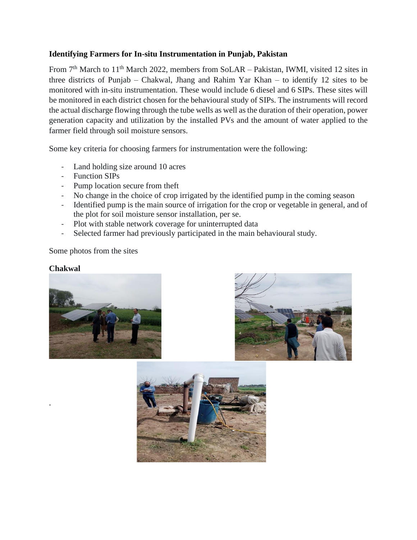## **Identifying Farmers for In-situ Instrumentation in Punjab, Pakistan**

From 7<sup>th</sup> March to 11<sup>th</sup> March 2022, members from SoLAR – Pakistan, IWMI, visited 12 sites in three districts of Punjab – Chakwal, Jhang and Rahim Yar Khan – to identify 12 sites to be monitored with in-situ instrumentation. These would include 6 diesel and 6 SIPs. These sites will be monitored in each district chosen for the behavioural study of SIPs. The instruments will record the actual discharge flowing through the tube wells as well as the duration of their operation, power generation capacity and utilization by the installed PVs and the amount of water applied to the farmer field through soil moisture sensors.

Some key criteria for choosing farmers for instrumentation were the following:

- Land holding size around 10 acres
- Function SIPs
- Pump location secure from theft
- No change in the choice of crop irrigated by the identified pump in the coming season
- Identified pump is the main source of irrigation for the crop or vegetable in general, and of the plot for soil moisture sensor installation, per se.
- Plot with stable network coverage for uninterrupted data
- Selected farmer had previously participated in the main behavioural study.

Some photos from the sites

## **Chakwal**

.





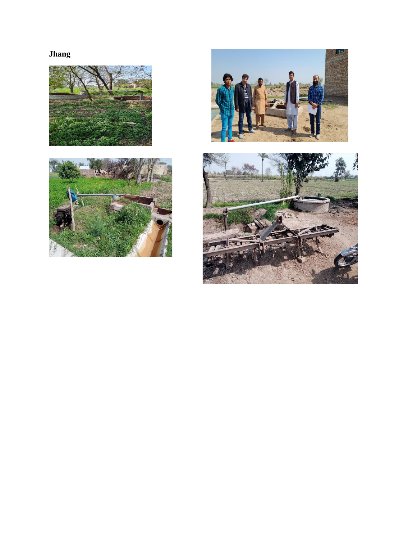## **Jhang**